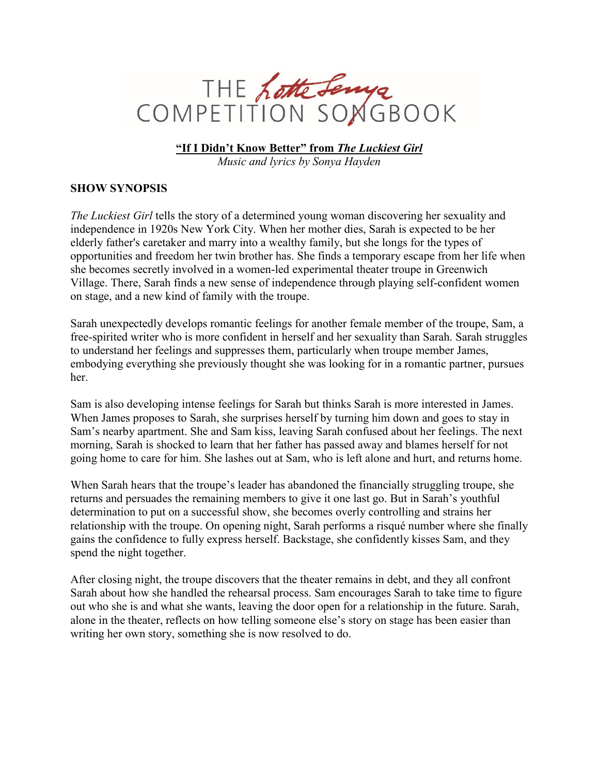

**"If I Didn't Know Better" from** *The Luckiest Girl*

*Music and lyrics by Sonya Hayden*

## **SHOW SYNOPSIS**

*The Luckiest Girl* tells the story of a determined young woman discovering her sexuality and independence in 1920s New York City. When her mother dies, Sarah is expected to be her elderly father's caretaker and marry into a wealthy family, but she longs for the types of opportunities and freedom her twin brother has. She finds a temporary escape from her life when she becomes secretly involved in a women-led experimental theater troupe in Greenwich Village. There, Sarah finds a new sense of independence through playing self-confident women on stage, and a new kind of family with the troupe.

Sarah unexpectedly develops romantic feelings for another female member of the troupe, Sam, a free-spirited writer who is more confident in herself and her sexuality than Sarah. Sarah struggles to understand her feelings and suppresses them, particularly when troupe member James, embodying everything she previously thought she was looking for in a romantic partner, pursues her.

Sam is also developing intense feelings for Sarah but thinks Sarah is more interested in James. When James proposes to Sarah, she surprises herself by turning him down and goes to stay in Sam's nearby apartment. She and Sam kiss, leaving Sarah confused about her feelings. The next morning, Sarah is shocked to learn that her father has passed away and blames herself for not going home to care for him. She lashes out at Sam, who is left alone and hurt, and returns home.

When Sarah hears that the troupe's leader has abandoned the financially struggling troupe, she returns and persuades the remaining members to give it one last go. But in Sarah's youthful determination to put on a successful show, she becomes overly controlling and strains her relationship with the troupe. On opening night, Sarah performs a risqué number where she finally gains the confidence to fully express herself. Backstage, she confidently kisses Sam, and they spend the night together.

After closing night, the troupe discovers that the theater remains in debt, and they all confront Sarah about how she handled the rehearsal process. Sam encourages Sarah to take time to figure out who she is and what she wants, leaving the door open for a relationship in the future. Sarah, alone in the theater, reflects on how telling someone else's story on stage has been easier than writing her own story, something she is now resolved to do.